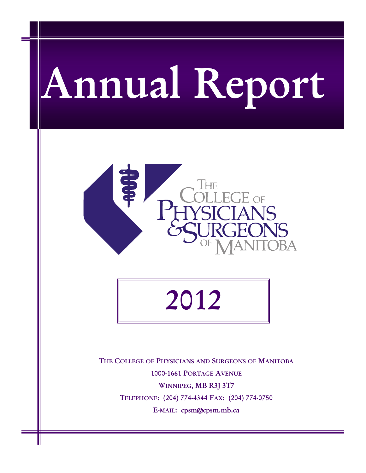# **Annual Report**



**2012** 

**THE COLLEGE OF PHYSICIANS AND SURGEONS OF MANITOBA 1000-1661 PORTAGE AVENUE WINNIPEG, MB R3J 3T7 TELEPHONE: (204) 774-4344 FAX: (204) 774-0750 E-MAIL: cpsm@cpsm.mb.ca**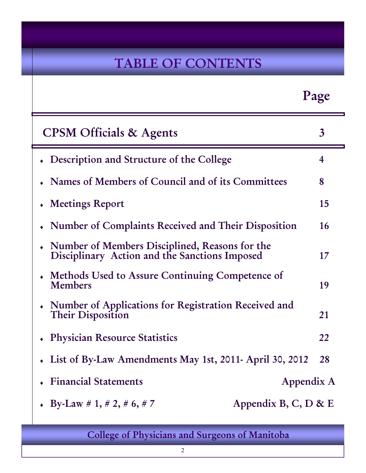# **TABLE OF CONTENTS**

|                                                                                                 | Page           |
|-------------------------------------------------------------------------------------------------|----------------|
| <b>CPSM</b> Officials & Agents                                                                  | $\overline{3}$ |
| • Description and Structure of the College                                                      | 4              |
| Names of Members of Council and of its Committees                                               | 8              |
| • Meetings Report                                                                               | 15             |
| Number of Complaints Received and Their Disposition                                             | 16             |
| Number of Members Disciplined, Reasons for the<br>Disciplinary Action and the Sanctions Imposed | 17             |
| • Methods Used to Assure Continuing Competence of<br><b>Members</b>                             | 19             |
| • Number of Applications for Registration Received and<br>Their Disposition                     | 21             |
| <b>Physician Resource Statistics</b>                                                            | 22             |
| • List of By-Law Amendments May 1st, 2011- April 30, 2012 28                                    |                |
| <b>Financial Statements</b>                                                                     | Appendix A     |
| Appendix B, C, D & E<br>• By-Law # 1, # 2, # 6, # 7                                             |                |

**College of Physicians and Surgeons of Manitoba** 

l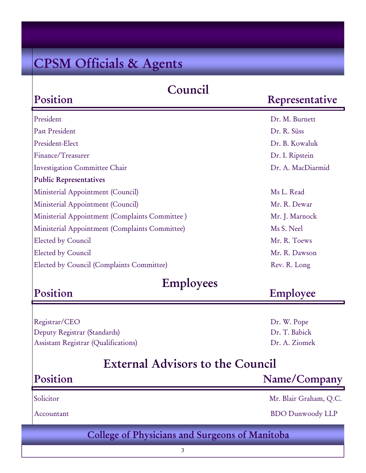# **CPSM Officials & Agents**

**Position** 

**Position** 

### **Council**

### **Representative**

| President                                      | Dr. M. Burnett    |
|------------------------------------------------|-------------------|
| Past President                                 | Dr. R. Süss       |
| President-Elect                                | Dr. B. Kowaluk    |
| Finance/Treasurer                              | Dr. I. Ripstein   |
| <b>Investigation Committee Chair</b>           | Dr. A. MacDiarmid |
| <b>Public Representatives</b>                  |                   |
| Ministerial Appointment (Council)              | Ms L. Read        |
| Ministerial Appointment (Council)              | Mr. R. Dewar      |
| Ministerial Appointment (Complaints Committee) | Mr. J. Marnock    |
| Ministerial Appointment (Complaints Committee) | Ms S. Neel        |
| Elected by Council                             | Mr. R. Toews      |
| Elected by Council                             | Mr. R. Dawson     |
| Elected by Council (Complaints Committee)      | Rev. R. Long      |
|                                                |                   |

### **Employees**

### **Employee**

Registrar/CEO Dr. W. Pope Deputy Registrar (Standards) Dr. T. Babick Assistant Registrar (Qualifications) Dr. A. Ziomek

# **External Advisors to the Council**

### **College of Physicians and Surgeons of Manitoba Position Name/Company**  Solicitor Mr. Blair Graham, Q.C. Accountant BDO Dunwoody LLP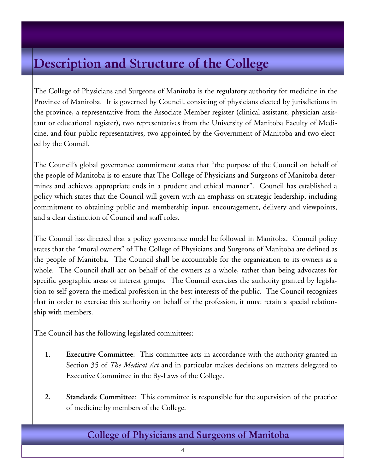# **Description and Structure of the College**

The College of Physicians and Surgeons of Manitoba is the regulatory authority for medicine in the Province of Manitoba. It is governed by Council, consisting of physicians elected by jurisdictions in the province, a representative from the Associate Member register (clinical assistant, physician assistant or educational register), two representatives from the University of Manitoba Faculty of Medicine, and four public representatives, two appointed by the Government of Manitoba and two elected by the Council.

The Council's global governance commitment states that "the purpose of the Council on behalf of the people of Manitoba is to ensure that The College of Physicians and Surgeons of Manitoba determines and achieves appropriate ends in a prudent and ethical manner". Council has established a policy which states that the Council will govern with an emphasis on strategic leadership, including commitment to obtaining public and membership input, encouragement, delivery and viewpoints, and a clear distinction of Council and staff roles.

The Council has directed that a policy governance model be followed in Manitoba. Council policy states that the "moral owners" of The College of Physicians and Surgeons of Manitoba are defined as the people of Manitoba. The Council shall be accountable for the organization to its owners as a whole. The Council shall act on behalf of the owners as a whole, rather than being advocates for specific geographic areas or interest groups. The Council exercises the authority granted by legislation to self-govern the medical profession in the best interests of the public. The Council recognizes that in order to exercise this authority on behalf of the profession, it must retain a special relationship with members.

The Council has the following legislated committees:

- **1. Executive Committee**: This committee acts in accordance with the authority granted in Section 35 of *The Medical Act* and in particular makes decisions on matters delegated to Executive Committee in the By-Laws of the College.
- **2. Standards Committee**: This committee is responsible for the supervision of the practice of medicine by members of the College.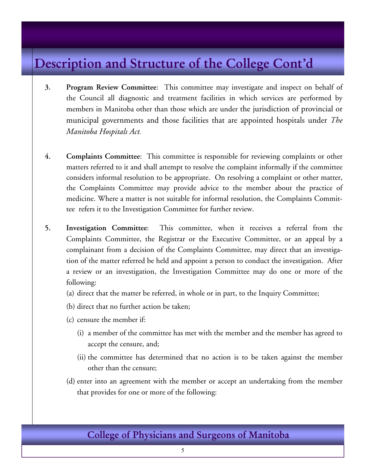# **Description and Structure of the College Cont'd**

- **3. Program Review Committee**: This committee may investigate and inspect on behalf of the Council all diagnostic and treatment facilities in which services are performed by members in Manitoba other than those which are under the jurisdiction of provincial or municipal governments and those facilities that are appointed hospitals under *The Manitoba Hospitals Act*.
- **4. Complaints Committee**: This committee is responsible for reviewing complaints or other matters referred to it and shall attempt to resolve the complaint informally if the committee considers informal resolution to be appropriate. On resolving a complaint or other matter, the Complaints Committee may provide advice to the member about the practice of medicine. Where a matter is not suitable for informal resolution, the Complaints Committee refers it to the Investigation Committee for further review.
- **5. Investigation Committee**: This committee, when it receives a referral from the Complaints Committee, the Registrar or the Executive Committee, or an appeal by a complainant from a decision of the Complaints Committee, may direct that an investigation of the matter referred be held and appoint a person to conduct the investigation. After a review or an investigation, the Investigation Committee may do one or more of the following:
	- (a) direct that the matter be referred, in whole or in part, to the Inquiry Committee;
	- (b) direct that no further action be taken;
	- (c) censure the member if:
		- (i) a member of the committee has met with the member and the member has agreed to accept the censure, and;
		- (ii) the committee has determined that no action is to be taken against the member other than the censure;
	- (d) enter into an agreement with the member or accept an undertaking from the member that provides for one or more of the following: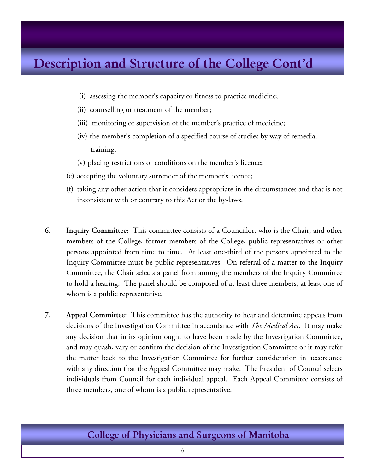# **Description and Structure of the College Cont'd**

- (i) assessing the member's capacity or fitness to practice medicine;
- (ii) counselling or treatment of the member;
- (iii) monitoring or supervision of the member's practice of medicine;
- (iv) the member's completion of a specified course of studies by way of remedial training;
- (v) placing restrictions or conditions on the member's licence;
- (e) accepting the voluntary surrender of the member's licence;
- (f) taking any other action that it considers appropriate in the circumstances and that is not inconsistent with or contrary to this Act or the by-laws.
- **6. Inquiry Committee**: This committee consists of a Councillor, who is the Chair, and other members of the College, former members of the College, public representatives or other persons appointed from time to time. At least one-third of the persons appointed to the Inquiry Committee must be public representatives. On referral of a matter to the Inquiry Committee, the Chair selects a panel from among the members of the Inquiry Committee to hold a hearing. The panel should be composed of at least three members, at least one of whom is a public representative.
- **7. Appeal Committee**: This committee has the authority to hear and determine appeals from decisions of the Investigation Committee in accordance with *The Medical Act.* It may make any decision that in its opinion ought to have been made by the Investigation Committee, and may quash, vary or confirm the decision of the Investigation Committee or it may refer the matter back to the Investigation Committee for further consideration in accordance with any direction that the Appeal Committee may make. The President of Council selects individuals from Council for each individual appeal. Each Appeal Committee consists of three members, one of whom is a public representative.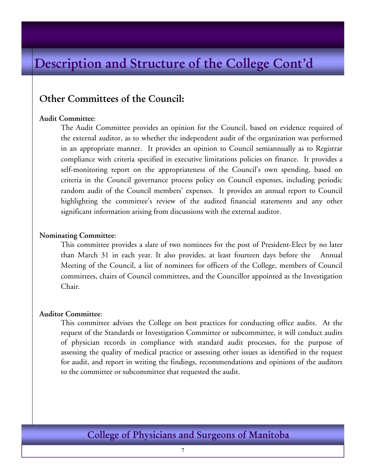# **Description and Structure of the College Cont'd**

### **Other Committees of the Council:**

### **Audit Committee**:

 The Audit Committee provides an opinion for the Council, based on evidence required of the external auditor, as to whether the independent audit of the organization was performed in an appropriate manner. It provides an opinion to Council semiannually as to Registrar compliance with criteria specified in executive limitations policies on finance. It provides a self-monitoring report on the appropriateness of the Council's own spending, based on criteria in the Council governance process policy on Council expenses, including periodic random audit of the Council members' expenses. It provides an annual report to Council highlighting the committee's review of the audited financial statements and any other significant information arising from discussions with the external auditor.

#### **Nominating Committee**:

This committee provides a slate of two nominees for the post of President-Elect by no later than March 31 in each year. It also provides, at least fourteen days before the Annual Meeting of the Council, a list of nominees for officers of the College, members of Council committees, chairs of Council committees, and the Councillor appointed as the Investigation Chair.

#### **Auditor Committee**:

This committee advises the College on best practices for conducting office audits. At the request of the Standards or Investigation Committee or subcommittee, it will conduct audits of physician records in compliance with standard audit processes, for the purpose of assessing the quality of medical practice or assessing other issues as identified in the request for audit, and report in writing the findings, recommendations and opinions of the auditors to the committee or subcommittee that requested the audit.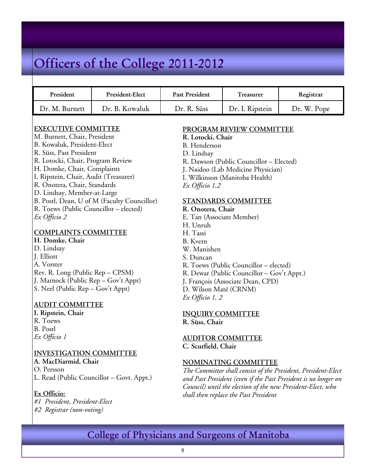# **Officers of the College 2011-2012**

| President      | President-Elect | Past President | <b>Treasurer</b> | Registrar   |
|----------------|-----------------|----------------|------------------|-------------|
| Dr. M. Burnett | Dr. B. Kowaluk  | Dr. R. Süss    | Dr. I. Ripstein  | Dr. W. Pope |

### **EXECUTIVE COMMITTEE**

M. Burnett, Chair, President B. Kowaluk, President-Elect R. Süss, Past President R. Lotocki, Chair, Program Review H. Domke, Chair, Complaints I. Ripstein, Chair, Audit (Treasurer) R. Onotera, Chair, Standards D. Lindsay, Member-at-Large B. Postl, Dean, U of M (Faculty Councillor) R. Toews (Public Councillor – elected) *Ex Officio 2*

#### **COMPLAINTS COMMITTEE**

**H. Domke, Chair**  D. Lindsay J. Elliott A. Vorster Rev. R. Long (Public Rep – CPSM) J. Marnock (Public Rep – Gov't Appt) S. Neel (Public Rep – Gov't Appt)

### **AUDIT COMMITTEE**

**I. Ripstein, Chair**  R. Toews B. Postl *Ex Officio 1* 

### **INVESTIGATION COMMITTEE**

**A. MacDiarmid, Chair** 

O. Persson

L. Read (Public Councillor – Govt. Appt.)

#### **Ex Officio:**

*#1 President, President-Elect #2 Registrar (non-voting)* 

#### **PROGRAM REVIEW COMMITTEE**

- **R. Lotocki, Chair**
- B. Henderson
- D. Lindsay
- R. Dawson (Public Councillor Elected)
- J. Naidoo (Lab Medicine Physician)
- I. Wilkinson (Manitoba Health)

*Ex Officio 1,2*

### **STANDARDS COMMITTEE**

### **R. Onotera, Chair**

- E. Tan (Associate Member)
- H. Unruh
- H. Tassi
- B. Kvern
- W. Manishen
- S. Duncan
- R. Toews (Public Councillor elected)
- R. Dewar (Public Councillor Gov't Appt.)
- J. François (Associate Dean, CPD)
- D. Wilson Maté (CRNM)
- *Ex Officio 1, 2*

#### **INQUIRY COMMITTEE**

**R. Süss, Chair** 

#### **AUDITOR COMMITTEE C. Scurfield, Chair**

#### **NOMINATING COMMITTEE**

*The Committee shall consist of the President, President-Elect and Past President (even if the Past President is no longer on Council) until the election of the new President-Elect, who shall then replace the Past President*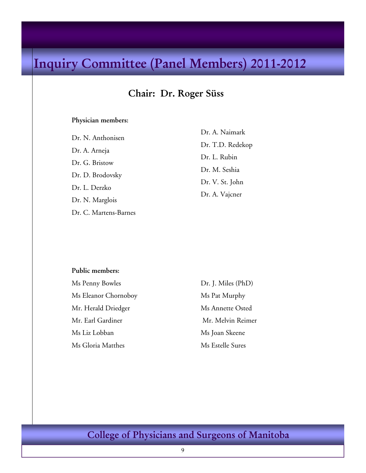# **Inquiry Committee (Panel Members) 2011-2012**

### **Chair: Dr. Roger Süss**

#### **Physician members:**

Dr. N. Anthonisen Dr. A. Arneja Dr. G. Bristow Dr. D. Brodovsky Dr. L. Derzko Dr. N. Marglois Dr. C. Martens-Barnes Dr. A. Naimark Dr. T.D. Redekop Dr. L. Rubin Dr. M. Seshia Dr. V. St. John Dr. A. Vajcner

#### **Public members:**

Ms Penny Bowles Ms Eleanor Chornoboy Mr. Herald Driedger Mr. Earl Gardiner Ms Liz Lobban Ms Gloria Matthes

Dr. J. Miles (PhD) Ms Pat Murphy Ms Annette Osted Mr. Melvin Reimer Ms Joan Skeene Ms Estelle Sures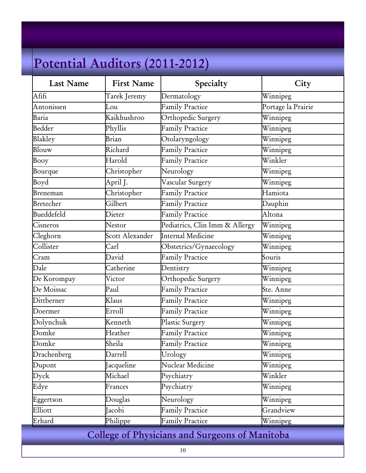# **Potential Auditors (2011-2012)**

| <b>Last Name</b>  | <b>First Name</b> | Specialty                      | City               |
|-------------------|-------------------|--------------------------------|--------------------|
| Afifi             | Tarek Jeremy      | Dermatology                    | Winnipeg           |
| Antonissen        | Lou               | <b>Family Practice</b>         | Portage la Prairie |
| Baria             | Kaikhushroo       | Orthopedic Surgery             | Winnipeg           |
| Bedder            | Phyllis           | <b>Family Practice</b>         | Winnipeg           |
| Blakley           | Brian             | Otolaryngology                 | Winnipeg           |
| Blouw             | Richard           | <b>Family Practice</b>         | Winnipeg           |
| Booy              | Harold            | <b>Family Practice</b>         | Winkler            |
| Bourque           | Christopher       | Neurology                      | Winnipeg           |
| Boyd              | April J.          | Vascular Surgery               | Winnipeg           |
| Breneman          | Christopher       | <b>Family Practice</b>         | Hamiota            |
| <b>Bretecher</b>  | Gilbert           | <b>Family Practice</b>         | Dauphin            |
| <b>Bueddefeld</b> | Dieter            | <b>Family Practice</b>         | Altona             |
| Cisneros          | Nestor            | Pediatrics, Clin Imm & Allergy | Winnipeg           |
| Cleghorn          | Scott Alexander   | Internal Medicine              | Winnipeg           |
| Collister         | Carl              | Obstetrics/Gynaecology         | Winnipeg           |
| Cram              | David             | <b>Family Practice</b>         | Souris             |
| Dale              | Catherine         | Dentistry                      | Winnipeg           |
| De Korompay       | Victor            | Orthopedic Surgery             | Winnipeg           |
| De Moissac        | Paul              | <b>Family Practice</b>         | Ste. Anne          |
| Dittberner        | Klaus             | <b>Family Practice</b>         | Winnipeg           |
| Doermer           | Erroll            | Family Practice                | Winnipeg           |
| Dolynchuk         | Kenneth           | Plastic Surgery                | Winnipeg           |
| Domke             | Heather           | <b>Family Practice</b>         | Winnipeg           |
| Domke             | Sheila            | <b>Family Practice</b>         | Winnipeg           |
| Drachenberg       | Darrell           | Urology                        | Winnipeg           |
| Dupont            | Jacqueline        | Nuclear Medicine               | Winnipeg           |
| Dyck              | Michael           | Psychiatry                     | Winkler            |
| Edye              | Frances           | Psychiatry                     | Winnipeg           |
| Eggertson         | Douglas           | Neurology                      | Winnipeg           |
| Elliott           | Jacobi            | Family Practice                | Grandview          |
| Erhard            | Philippe          | Family Practice                | Winnipeg           |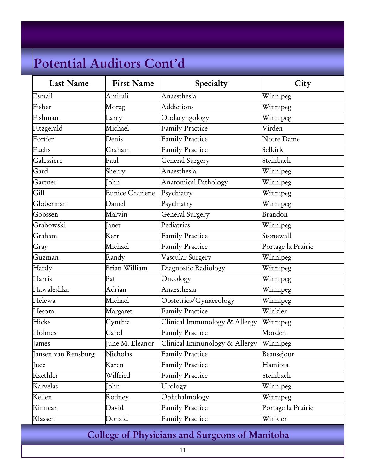| <b>Last Name</b>    | <b>First Name</b> | Specialty                              | City               |
|---------------------|-------------------|----------------------------------------|--------------------|
| Esmail              | Amirali           | Anaesthesia                            | Winnipeg           |
| Fisher              | Morag             | <b>Addictions</b>                      | Winnipeg           |
| Fishman             | Larry             | Otolaryngology                         | Winnipeg           |
| Fitzgerald          | Michael           | <b>Family Practice</b>                 | Virden             |
| Fortier             | Denis             | <b>Family Practice</b>                 | Notre Dame         |
| Fuchs               | Graham            | <b>Family Practice</b>                 | Selkirk            |
| Galessiere          | Paul              | General Surgery                        | Steinbach          |
| Gard                | Sherry            | Anaesthesia                            | Winnipeg           |
| Gartner             | John              | Anatomical Pathology                   | Winnipeg           |
| Gill                | Eunice Charlene   | Psychiatry                             | Winnipeg           |
| Globerman           | Daniel            | Psychiatry                             | Winnipeg           |
| Goossen             | Marvin            | General Surgery                        | Brandon            |
| Grabowski           | Janet             | Pediatrics                             | Winnipeg           |
| Graham              | Kerr              | <b>Family Practice</b>                 | Stonewall          |
| Gray                | Michael           | Family Practice                        | Portage la Prairie |
| Guzman              | Randy             | $\overline{\text{V}}$ ascular Surgery  | Winnipeg           |
| Hardy               | Brian William     | Diagnostic Radiology                   | Winnipeg           |
| Harris              | Pat               | Oncology                               | Winnipeg           |
| Hawaleshka          | Adrian            | Anaesthesia                            | Winnipeg           |
| Helewa              | Michael           | Obstetrics/Gynaecology                 | Winnipeg           |
| Hesom               | Margaret          | <b>Family Practice</b>                 | Winkler            |
| Hicks               | Cynthia           | Clinical Immunology & Allergy          | Winnipeg           |
| Holmes              | Carol             | <b>Family Practice</b>                 | Morden             |
| James               | June M. Eleanor   | Clinical Immunology & Allergy Winnipeg |                    |
| Jansen van Rensburg | Nicholas          | <b>Family Practice</b>                 | Beausejour         |
| Juce                | Karen             | <b>Family Practice</b>                 | Hamiota            |
| Kaethler            | Wilfried          | <b>Family Practice</b>                 | Steinbach          |
| Karvelas            | John              | Urology                                | Winnipeg           |
| Kellen              | Rodney            | Ophthalmology                          | Winnipeg           |
| Kinnear             | David             | <b>Family Practice</b>                 | Portage la Prairie |
| Klassen             | Donald            | <b>Family Practice</b>                 | Winkler            |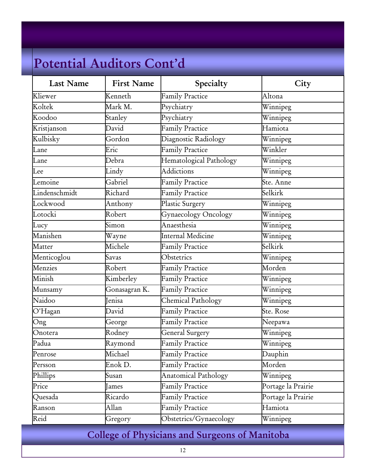| <b>Last Name</b> | <b>First Name</b> | Specialty                   | City               |
|------------------|-------------------|-----------------------------|--------------------|
| Kliewer          | Kenneth           | <b>Family Practice</b>      | Altona             |
| Koltek           | Mark M.           | Psychiatry                  | Winnipeg           |
| Koodoo           | Stanley           | Psychiatry                  | Winnipeg           |
| Kristjanson      | David             | <b>Family Practice</b>      | Hamiota            |
| Kulbisky         | Gordon            | Diagnostic Radiology        | Winnipeg           |
| Lane             | Eric              | <b>Family Practice</b>      | Winkler            |
| Lane             | Debra             | Hematological Pathology     | Winnipeg           |
| Lee              | Lindy             | <b>Addictions</b>           | Winnipeg           |
| Lemoine          | Gabriel           | Family Practice             | Ste. Anne          |
| Lindenschmidt    | Richard           | <b>Family Practice</b>      | Selkirk            |
| Lockwood         | Anthony           | Plastic Surgery             | Winnipeg           |
| Lotocki          | Robert            | Gynaecology Oncology        | Winnipeg           |
| Lucy             | Simon             | Anaesthesia                 | Winnipeg           |
| Manishen         | Wayne             | Internal Medicine           | Winnipeg           |
| Matter           | Michele           | <b>Family Practice</b>      | Selkirk            |
| Menticoglou      | Savas             | Obstetrics                  | Winnipeg           |
| Menzies          | Robert            | <b>Family Practice</b>      | Morden             |
| Minish           | Kimberley         | <b>Family Practice</b>      | Winnipeg           |
| Munsamy          | Gonasagran K.     | <b>Family Practice</b>      | Winnipeg           |
| Naidoo           | Jenisa            | Chemical Pathology          | Winnipeg           |
| O'Hagan          | David             | <b>Family Practice</b>      | Ste. Rose          |
| Ong              | George            | <b>Family Practice</b>      | Neepawa            |
| Onotera          | Rodney            | General Surgery             | Winnipeg           |
| Padua            | Raymond           | <b>Family Practice</b>      | Winnipeg           |
| Penrose          | Michael           | <b>Family Practice</b>      | Dauphin            |
| Persson          | Enok D.           | <b>Family Practice</b>      | Morden             |
| Phillips         | Susan             | <b>Anatomical Pathology</b> | Winnipeg           |
| Price            | James             | Family Practice             | Portage la Prairie |
| Quesada          | Ricardo           | <b>Family Practice</b>      | Portage la Prairie |
| Ranson           | Allan             | Family Practice             | Hamiota            |
| Reid             | Gregory           | Obstetrics/Gynaecology      | Winnipeg           |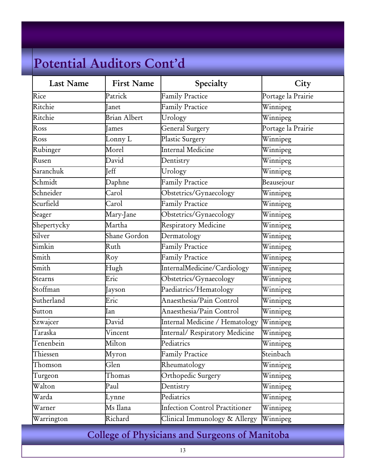| <b>Last Name</b>         | <b>First Name</b> | Specialty                             | City               |
|--------------------------|-------------------|---------------------------------------|--------------------|
| Rice                     | Patrick           | <b>Family Practice</b>                | Portage la Prairie |
| Ritchie                  | <b>Ianet</b>      | <b>Family Practice</b>                | Winnipeg           |
| Ritchie                  | Brian Albert      | Urology                               | Winnipeg           |
| $\overline{\text{Ross}}$ | <b>James</b>      | General Surgery                       | Portage la Prairie |
| Ross                     | Lonny L           | Plastic Surgery                       | Winnipeg           |
| Rubinger                 | Morel             | Internal Medicine                     | Winnipeg           |
| Rusen                    | David             | Dentistry                             | Winnipeg           |
| Saranchuk                | <b>J</b> eff      | Urology                               | Winnipeg           |
| Schmidt                  | Daphne            | <b>Family Practice</b>                | Beausejour         |
| Schneider                | Carol             | Obstetrics/Gynaecology                | Winnipeg           |
| Scurfield                | Carol             | <b>Family Practice</b>                | Winnipeg           |
| Seager                   | Mary-Jane         | Obstetrics/Gynaecology                | Winnipeg           |
| Shepertycky              | Martha            | Respiratory Medicine                  | Winnipeg           |
| Silver                   | Shane Gordon      | Dermatology                           | Winnipeg           |
| Simkin                   | Ruth              | <b>Family Practice</b>                | Winnipeg           |
| Smith                    | Roy               | Family Practice                       | Winnipeg           |
| Smith                    | Hugh              | InternalMedicine/Cardiology           | Winnipeg           |
| Stearns                  | Eric              | Obstetrics/Gynaecology                | Winnipeg           |
| Stoffman                 | Jayson            | Paediatrics/Hematology                | Winnipeg           |
| Sutherland               | Eric              | Anaesthesia/Pain Control              | Winnipeg           |
| Sutton                   | Ian               | Anaesthesia/Pain Control              | Winnipeg           |
| Szwajcer                 | David             | Internal Medicine / Hematology        | Winnipeg           |
| Taraska                  | Vincent           | Internal/Respiratory Medicine         | Winnipeg           |
| Tenenbein                | Milton            | Pediatrics                            | Winnipeg           |
| Thiessen                 | Myron             | <b>Family Practice</b>                | Steinbach          |
| Thomson                  | Glen              | Rheumatology                          | Winnipeg           |
| Turgeon                  | Thomas            | Orthopedic Surgery                    | Winnipeg           |
| Walton                   | Paul              | Dentistry                             | Winnipeg           |
| Warda                    | Lynne             | Pediatrics                            | Winnipeg           |
| Warner                   | Ms Ilana          | <b>Infection Control Practitioner</b> | Winnipeg           |
| Warrington               | Richard           | Clinical Immunology & Allergy         | Winnipeg           |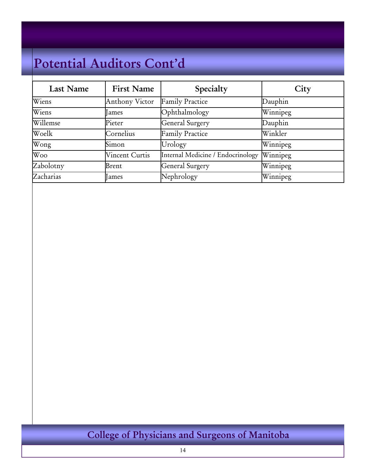| <b>Last Name</b> | <b>First Name</b>     | Specialty                         | City     |
|------------------|-----------------------|-----------------------------------|----------|
| Wiens            | <b>Anthony Victor</b> | <b>Family Practice</b>            | Dauphin  |
| Wiens            | ames                  | Ophthalmology                     | Winnipeg |
| Willemse         | Pieter                | <b>General Surgery</b>            | Dauphin  |
| Woelk            | Cornelius             | Family Practice                   | Winkler  |
| Wong             | Simon                 | Urology                           | Winnipeg |
| Woo              | <b>Vincent Curtis</b> | Internal Medicine / Endocrinology | Winnipeg |
| Zabolotny        | Brent                 | <b>General Surgery</b>            | Winnipeg |
| Zacharias        | lames                 | Nephrology                        | Winnipeg |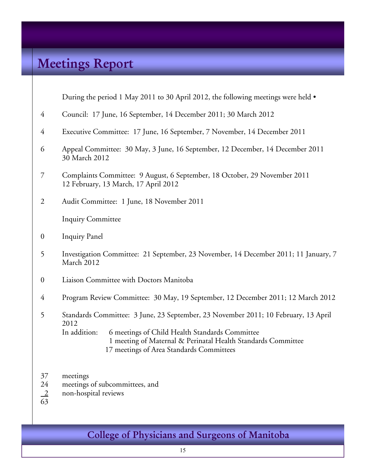# **Meetings Report**

During the period 1 May 2011 to 30 April 2012, the following meetings were held  $\bullet$ 

- 4 Council: 17 June, 16 September, 14 December 2011; 30 March 2012
- 4 Executive Committee: 17 June, 16 September, 7 November, 14 December 2011
- 6 Appeal Committee: 30 May, 3 June, 16 September, 12 December, 14 December 2011 30 March 2012
- 7 Complaints Committee: 9 August, 6 September, 18 October, 29 November 2011 12 February, 13 March, 17 April 2012
- 2 Audit Committee: 1 June, 18 November 2011

Inquiry Committee

- 0 Inquiry Panel
- 5 Investigation Committee: 21 September, 23 November, 14 December 2011; 11 January, 7 March 2012
- 0 Liaison Committee with Doctors Manitoba
- 4 Program Review Committee: 30 May, 19 September, 12 December 2011; 12 March 2012

5 Standards Committee: 3 June, 23 September, 23 November 2011; 10 February, 13 April 2012<br>In addition: 6 meetings of Child Health Standards Committee 1 meeting of Maternal & Perinatal Health Standards Committee 17 meetings of Area Standards Committees

- 37 meetings
- 24 meetings of subcommittees, and
- 2 non-hospital reviews
- 63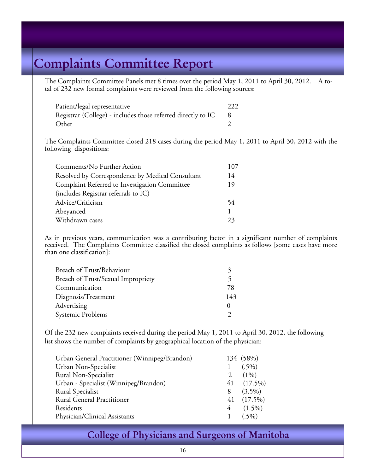# **Complaints Committee Report**

The Complaints Committee Panels met 8 times over the period May 1, 2011 to April 30, 2012. A total of 232 new formal complaints were reviewed from the following sources:

| Patient/legal representative                                 | 222 |
|--------------------------------------------------------------|-----|
| Registrar (College) - includes those referred directly to IC |     |
| Other                                                        |     |

 The Complaints Committee closed 218 cases during the period May 1, 2011 to April 30, 2012 with the following dispositions:

| Comments/No Further Action                       | 107 |
|--------------------------------------------------|-----|
| Resolved by Correspondence by Medical Consultant | 14  |
| Complaint Referred to Investigation Committee    | 19  |
| (includes Registrar referrals to IC)             |     |
| Advice/Criticism                                 | 54  |
| Abeyanced                                        |     |
| Withdrawn cases                                  |     |

As in previous years, communication was a contributing factor in a significant number of complaints received. The Complaints Committee classified the closed complaints as follows [some cases have more than one classification]:

| Breach of Trust/Behaviour          |     |
|------------------------------------|-----|
| Breach of Trust/Sexual Impropriety |     |
| Communication                      | 78  |
| Diagnosis/Treatment                | 143 |
| Advertising                        |     |
| Systemic Problems                  |     |

 Of the 232 new complaints received during the period May 1, 2011 to April 30, 2012, the following list shows the number of complaints by geographical location of the physician:

| Urban General Practitioner (Winnipeg/Brandon) |   | 134 (58%)    |
|-----------------------------------------------|---|--------------|
| Urban Non-Specialist                          |   | $(.5\%)$     |
| Rural Non-Specialist                          |   | $(1\%)$      |
| Urban - Specialist (Winnipeg/Brandon)         |   | $41(17.5\%)$ |
| Rural Specialist                              | 8 | $(3.5\%)$    |
| <b>Rural General Practitioner</b>             |   | $41(17.5\%)$ |
| Residents                                     |   | $4(1.5\%)$   |
| Physician/Clinical Assistants                 |   | $(.5\%)$     |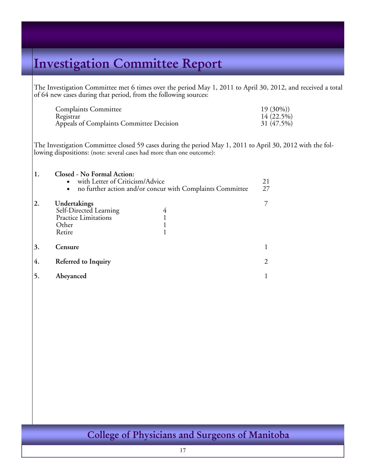# **Investigation Committee Report**

The Investigation Committee met 6 times over the period May 1, 2011 to April 30, 2012, and received a total of 64 new cases during that period, from the following sources:

| <b>Complaints Committee</b>              | $19(30\%)$ |
|------------------------------------------|------------|
| Registrar                                | 14 (22.5%) |
| Appeals of Complaints Committee Decision | 31 (47.5%) |

The Investigation Committee closed 59 cases during the period May 1, 2011 to April 30, 2012 with the following dispositions: (note: several cases had more than one outcome):

| 1. | Closed - No Formal Action:<br>with Letter of Criticism/Advice<br>no further action and/or concur with Complaints Committee<br>$\bullet$ | 21<br>27 |
|----|-----------------------------------------------------------------------------------------------------------------------------------------|----------|
| 2. | Undertakings<br>Self-Directed Learning<br>4<br><b>Practice Limitations</b><br>Other<br>Retire                                           |          |
| 3. | Censure                                                                                                                                 |          |
| 4. | Referred to Inquiry                                                                                                                     |          |
|    | Abeyanced                                                                                                                               |          |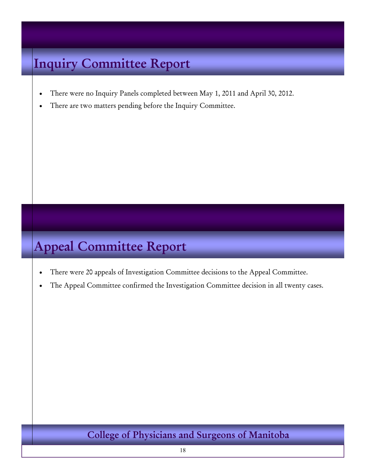# **Inquiry Committee Report**

- There were no Inquiry Panels completed between May 1, 2011 and April 30, 2012.
- There are two matters pending before the Inquiry Committee.

# **Appeal Committee Report**

- There were 20 appeals of Investigation Committee decisions to the Appeal Committee.
- The Appeal Committee confirmed the Investigation Committee decision in all twenty cases.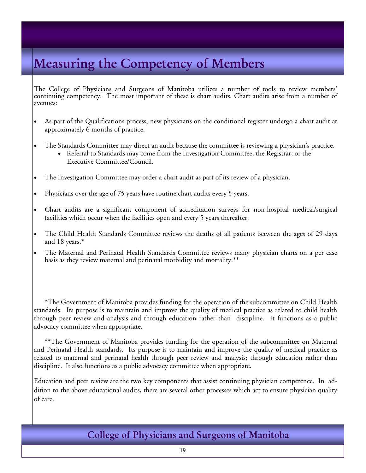# **Measuring the Competency of Members**

The College of Physicians and Surgeons of Manitoba utilizes a number of tools to review members' continuing competency. The most important of these is chart audits. Chart audits arise from a number of avenues:

- As part of the Qualifications process, new physicians on the conditional register undergo a chart audit at approximately 6 months of practice.
- The Standards Committee may direct an audit because the committee is reviewing a physician's practice.
	- Referral to Standards may come from the Investigation Committee, the Registrar, or the Executive Committee/Council.
- The Investigation Committee may order a chart audit as part of its review of a physician.
- Physicians over the age of 75 years have routine chart audits every 5 years.
- Chart audits are a significant component of accreditation surveys for non-hospital medical/surgical facilities which occur when the facilities open and every 5 years thereafter.
- The Child Health Standards Committee reviews the deaths of all patients between the ages of 29 days and 18 years.**\***
- The Maternal and Perinatal Health Standards Committee reviews many physician charts on a per case basis as they review maternal and perinatal morbidity and mortality.**\*\***

 **\***The Government of Manitoba provides funding for the operation of the subcommittee on Child Health standards. Its purpose is to maintain and improve the quality of medical practice as related to child health through peer review and analysis and through education rather than discipline. It functions as a public advocacy committee when appropriate.

**\*\***The Government of Manitoba provides funding for the operation of the subcommittee on Maternal and Perinatal Health standards. Its purpose is to maintain and improve the quality of medical practice as related to maternal and perinatal health through peer review and analysis; through education rather than discipline. It also functions as a public advocacy committee when appropriate.

Education and peer review are the two key components that assist continuing physician competence. In addition to the above educational audits, there are several other processes which act to ensure physician quality of care.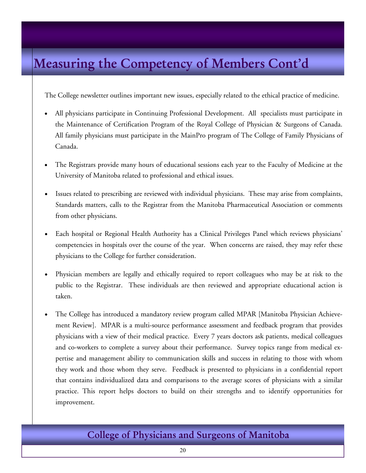# **Measuring the Competency of Members Cont'd**

The College newsletter outlines important new issues, especially related to the ethical practice of medicine.

- All physicians participate in Continuing Professional Development. All specialists must participate in the Maintenance of Certification Program of the Royal College of Physician & Surgeons of Canada. All family physicians must participate in the MainPro program of The College of Family Physicians of Canada.
- The Registrars provide many hours of educational sessions each year to the Faculty of Medicine at the University of Manitoba related to professional and ethical issues.
- Issues related to prescribing are reviewed with individual physicians. These may arise from complaints, Standards matters, calls to the Registrar from the Manitoba Pharmaceutical Association or comments from other physicians.
- Each hospital or Regional Health Authority has a Clinical Privileges Panel which reviews physicians' competencies in hospitals over the course of the year. When concerns are raised, they may refer these physicians to the College for further consideration.
- Physician members are legally and ethically required to report colleagues who may be at risk to the public to the Registrar. These individuals are then reviewed and appropriate educational action is taken.
- The College has introduced a mandatory review program called MPAR [Manitoba Physician Achievement Review]. MPAR is a multi-source performance assessment and feedback program that provides physicians with a view of their medical practice. Every 7 years doctors ask patients, medical colleagues and co-workers to complete a survey about their performance. Survey topics range from medical expertise and management ability to communication skills and success in relating to those with whom they work and those whom they serve. Feedback is presented to physicians in a confidential report that contains individualized data and comparisons to the average scores of physicians with a similar practice. This report helps doctors to build on their strengths and to identify opportunities for improvement.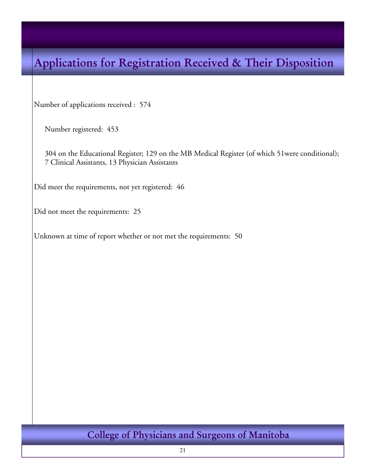# **Applications for Registration Received & Their Disposition**

Number of applications received : 574

Number registered: 453

304 on the Educational Register; 129 on the MB Medical Register (of which 51were conditional); 7 Clinical Assistants, 13 Physician Assistants

Did meet the requirements, not yet registered: 46

Did not meet the requirements: 25

Unknown at time of report whether or not met the requirements: 50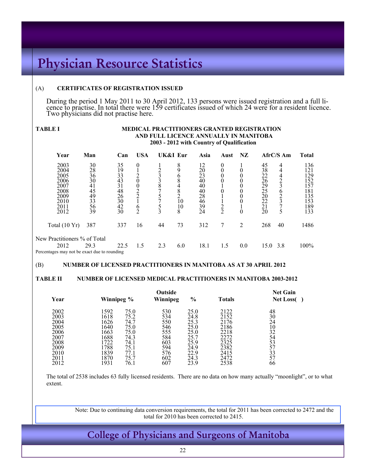# **Physician Resource Statistics**

#### (A) **CERTIFICATES OF REGISTRATION ISSUED**

During the period 1 May 2011 to 30 April 2012, 133 persons were issued registration and a full licence to practise. In total there were 159 certificates issued of which 24 were for a resident licence. Two physicians did not practise here.

#### **TABLE I MEDICAL PRACTITIONERS GRANTED REGISTRATION AND FULL LICENCE ANNUALLY IN MANITOBA 2003 - 2012 with Country of Qualification**

| Year                                                                         | Man                                                      | Can                                                             | <b>USA</b>          | UK&I Eur |                                        | Asia                                                                  | Aust             | NZ     |                                                                                                    | $ArC/S$ Am  | <b>Total</b>                                                       |
|------------------------------------------------------------------------------|----------------------------------------------------------|-----------------------------------------------------------------|---------------------|----------|----------------------------------------|-----------------------------------------------------------------------|------------------|--------|----------------------------------------------------------------------------------------------------|-------------|--------------------------------------------------------------------|
| 2003<br>2004<br>2005<br>2006<br>2007<br>2008<br>2009<br>2010<br>2011<br>2012 | 30<br>28<br>36<br>30<br>41<br>45<br>49<br>33<br>56<br>39 | 35<br>19<br>33<br>43<br>31<br>48<br>$\frac{26}{30}$<br>42<br>30 | 0<br>O<br>$\bigcap$ | 8        | 8<br>O<br>8<br>4<br>8<br>10<br>10<br>8 | 12<br>20<br>$2\overline{3}$<br>40<br>40<br>40<br>28<br>46<br>39<br>24 | 0<br>$\tilde{2}$ | 0<br>0 | 45<br>38<br>22<br>$\frac{2}{6}$<br>29<br>$\frac{25}{20}$<br>22<br>$\overline{2}\overline{1}$<br>20 | 4<br>4<br>0 | 136<br>121<br>129<br>152<br>157<br>181<br>135<br>153<br>189<br>133 |
| Total (10 Yr)                                                                | 387                                                      | 337                                                             | 16                  | 44       | 73                                     | 312                                                                   | 7                | 2      | 268                                                                                                | 40          | 1486                                                               |
| New Practitioners % of Total                                                 |                                                          |                                                                 |                     |          |                                        |                                                                       |                  |        |                                                                                                    |             |                                                                    |
| 2012                                                                         | 29.3                                                     | 22.5                                                            | 1.5                 | 2.3      | 6.0                                    | 18.1                                                                  | 1.5              | 0.0    | 15.0                                                                                               | 3.8         | 100%                                                               |
| Percentages may not be exact due to rounding                                 |                                                          |                                                                 |                     |          |                                        |                                                                       |                  |        |                                                                                                    |             |                                                                    |

#### (B) **NUMBER OF LICENSED PRACTITIONERS IN MANITOBA AS AT 30 APRIL 2012**

#### **TABLE II NUMBER OF LICENSED MEDICAL PRACTITIONERS IN MANITOBA 2003-2012**

| Year                                                                                 | Winnipeg %                                                                                                                                                                   | Outside<br>Winnipeg                                                       | $\frac{0}{0}$                                                                        | <b>Totals</b>                                                                        | <b>Net Gain</b><br><b>Net Loss</b>                                          |
|--------------------------------------------------------------------------------------|------------------------------------------------------------------------------------------------------------------------------------------------------------------------------|---------------------------------------------------------------------------|--------------------------------------------------------------------------------------|--------------------------------------------------------------------------------------|-----------------------------------------------------------------------------|
| 2002<br>2003<br>2004<br>2005<br>2006<br>2007<br>2008<br>2009<br>2010<br>2011<br>2012 | 1592<br>75.0<br>1618<br>75.2<br>1626<br>74.7<br>1640<br>75.0<br>1663<br>75.0<br>1688<br>74.3<br>1722<br>74.1<br>1788<br>75.1<br>1839<br>77.1<br>1870<br>75.7<br>1931<br>76.1 | 530<br>534<br>550<br>546<br>555<br>584<br>603<br>594<br>576<br>602<br>607 | 25.0<br>24.8<br>25.3<br>25.0<br>25.0<br>25.7<br>25.9<br>24.9<br>22.9<br>24.3<br>23.9 | 2122<br>2152<br>2176<br>2186<br>2218<br>2272<br>2325<br>2382<br>2415<br>2472<br>2538 | 48<br>$3\overline{0}$<br>24<br>10<br>32<br>54<br>53<br>57<br>33<br>57<br>66 |

The total of 2538 includes 63 fully licensed residents. There are no data on how many actually "moonlight", or to what extent.

Note: Due to continuing data conversion requirements, the total for 2011 has been corrected to 2472 and the total for 2010 has been corrected to 2415.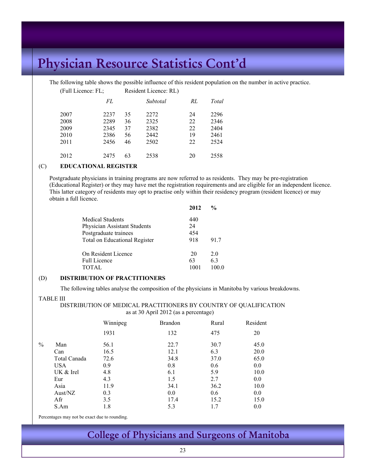The following table shows the possible influence of this resident population on the number in active practice.

| (Full Licence: FL; |      |    | Resident Licence: RL) |    |       |
|--------------------|------|----|-----------------------|----|-------|
|                    | FL   |    | Subtotal              | RL | Total |
| 2007               | 2237 | 35 | 2272                  | 24 | 2296  |
| 2008               | 2289 | 36 | 2325                  | 22 | 2346  |
| 2009               | 2345 | 37 | 2382                  | 22 | 2404  |
| 2010               | 2386 | 56 | 2442                  | 19 | 2461  |
| 2011               | 2456 | 46 | 2502                  | 22 | 2524  |
| 2012               | 2475 | 63 | 2538                  | 20 | 2558  |

#### $(C)$ (C) **EDUCATIONAL REGISTER**

Postgraduate physicians in training programs are now referred to as residents. They may be pre-registration (Educational Register) or they may have met the registration requirements and are eligible for an independent licence. This latter category of residents may opt to practise only within their residency program (resident licence) or may obtain a full licence.

|                               | 2012 | $\frac{0}{0}$ |
|-------------------------------|------|---------------|
| <b>Medical Students</b>       | 440  |               |
| Physician Assistant Students  | 24   |               |
| Postgraduate trainees         | 454  |               |
| Total on Educational Register | 918  | 91.7          |
| On Resident Licence           | 20   | 20            |
| <b>Full Licence</b>           | 63   | 6.3           |
| <b>TOTAL</b>                  | 1001 | 100.0         |

#### (D) **DISTRIBUTION OF PRACTITIONERS**

The following tables analyse the composition of the physicians in Manitoba by various breakdowns.

#### TABLE III

 DISTRIBUTION OF MEDICAL PRACTITIONERS BY COUNTRY OF QUALIFICATION as at 30 April 2012 (as a percentage)

|      |              | Winnipeg | <b>Brandon</b> | Rural | Resident |
|------|--------------|----------|----------------|-------|----------|
|      |              | 1931     | 132            | 475   | 20       |
| $\%$ | Man          | 56.1     | 22.7           | 30.7  | 45.0     |
|      | Can          | 16.5     | 12.1           | 6.3   | 20.0     |
|      | Total Canada | 72.6     | 34.8           | 37.0  | 65.0     |
|      | <b>USA</b>   | 0.9      | 0.8            | 0.6   | 0.0      |
|      | UK & Irel    | 4.8      | 6.1            | 5.9   | 10.0     |
|      | Eur          | 4.3      | 1.5            | 2.7   | 0.0      |
|      | Asia         | 11.9     | 34.1           | 36.2  | 10.0     |
|      | Aust/NZ      | 0.3      | 0.0            | 0.6   | 0.0      |
|      | Afr          | 3.5      | 17.4           | 15.2  | 15.0     |
|      | S.Am         | 1.8      | 5.3            | 1.7   | 0.0      |

Percentages may not be exact due to rounding.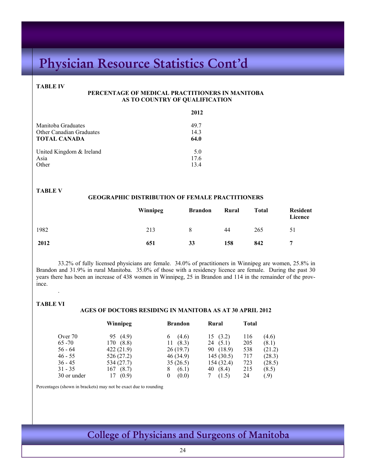#### **TABLE IV**

#### **PERCENTAGE OF MEDICAL PRACTITIONERS IN MANITOBA AS TO COUNTRY OF QUALIFICATION**

|                                 | 2012 |
|---------------------------------|------|
| Manitoba Graduates              | 497  |
| <b>Other Canadian Graduates</b> | 14.3 |
| <b>TOTAL CANADA</b>             | 64.0 |
| United Kingdom & Ireland        | 5.0  |
| Asia                            | 17.6 |
| Other                           | 134  |

#### **TABLE V**

#### **GEOGRAPHIC DISTRIBUTION OF FEMALE PRACTITIONERS**

|      | Winnipeg | <b>Brandon</b> | Rural | <b>Total</b> | <b>Resident</b><br>Licence |
|------|----------|----------------|-------|--------------|----------------------------|
| 1982 | 213      | 8              | 44    | 265          | 51                         |
| 2012 | 651      | 33             | 158   | 842          | 7                          |

33.2% of fully licensed physicians are female. 34.0% of practitioners in Winnipeg are women, 25.8% in Brandon and 31.9% in rural Manitoba. 35.0% of those with a residency licence are female. During the past 30 years there has been an increase of 438 women in Winnipeg, 25 in Brandon and 114 in the remainder of the province.

#### **TABLE VI**

.

#### **AGES OF DOCTORS RESIDING IN MANITOBA AS AT 30 APRIL 2012**

|             | Winnipeg     | <b>Brandon</b> | Rural        | <b>Total</b> |        |
|-------------|--------------|----------------|--------------|--------------|--------|
| Over 70     | (4.9)<br>95. | (4.6)<br>6     | (3.2)<br>15. | 116          | (4.6)  |
| $65 - 70$   | 170 (8.8)    | (8.3)<br>11    | (5.1)<br>24  | 205          | (8.1)  |
| $56 - 64$   | 422(21.9)    | 26(19.7)       | 90 (18.9)    | 538          | (21.2) |
| $46 - 55$   | 526(27.2)    | 46 (34.9)      | 145(30.5)    | 717          | (28.3) |
| $36 - 45$   | 534 (27.7)   | 35(26.5)       | 154(32.4)    | 723          | (28.5) |
| $31 - 35$   | 167<br>(8.7) | (6.1)<br>8     | 40 (8.4)     | 215          | (8.5)  |
| 30 or under | (0.9)<br>17  | (0.0)<br>0     | (1.5)        | 24           | (0.9)  |

Percentages (shown in brackets) may not be exact due to rounding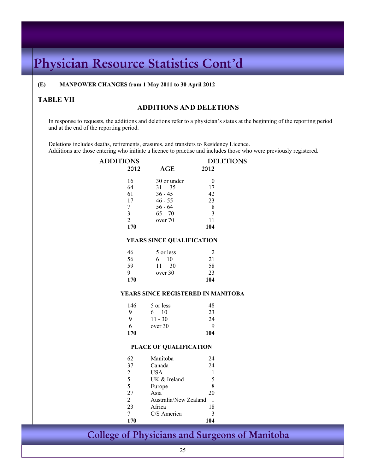#### **(E) MANPOWER CHANGES from 1 May 2011 to 30 April 2012**

# TABLE VII **ADDITIONS** AND DELETIONS

In response to requests, the additions and deletions refer to a physician's status at the beginning of the reporting period and at the end of the reporting period.

Deletions includes deaths, retirements, erasures, and transfers to Residency Licence.

Additions are those entering who initiate a licence to practise and includes those who were previously registered.

| <b>ADDITIONS</b> | <b>DELETIONS</b>        |                                    |                  |  |
|------------------|-------------------------|------------------------------------|------------------|--|
|                  | 2012                    | <b>AGE</b>                         | 2012             |  |
|                  | 16                      | 30 or under                        | $\boldsymbol{0}$ |  |
|                  | 64                      | 35<br>31                           | 17               |  |
|                  | 61                      | $36 - 45$                          | 42               |  |
|                  | 17                      | $46 - 55$                          | 23               |  |
|                  | $\boldsymbol{7}$        | $56 - 64$                          | $\,$ 8 $\,$      |  |
|                  | $\overline{\mathbf{3}}$ | $65 - 70$                          | $\overline{3}$   |  |
|                  | $\overline{c}$          | over 70                            | 11               |  |
|                  | 170                     |                                    | 104              |  |
|                  |                         | YEARS SINCE QUALIFICATION          |                  |  |
|                  | 46                      | 5 or less                          | $\overline{2}$   |  |
|                  | 56                      | 10<br>6                            | 21               |  |
|                  | 59                      | 11 30                              | 58               |  |
|                  | 9                       | over 30                            | 23               |  |
|                  | 170                     |                                    | 104              |  |
|                  |                         | YEARS SINCE REGISTERED IN MANITOBA |                  |  |
|                  | 146                     | 5 or less                          | 48               |  |
|                  | 9                       | $6 - 10$                           | 23               |  |
|                  | 9                       | $11 - 30$                          | 24               |  |
|                  | 6                       | over 30                            | 9                |  |
|                  | 170                     |                                    | 104              |  |
|                  |                         | PLACE OF QUALIFICATION             |                  |  |
|                  | 62                      | Manitoba                           | 24               |  |
|                  | 37                      | Canada                             | 24               |  |
|                  | $\overline{c}$          | <b>USA</b>                         | $\mathbf{1}$     |  |
|                  | 5                       | UK & Ireland                       | 5                |  |
|                  | 5                       | Europe                             | 8                |  |
|                  | 27                      | Asia                               | 20               |  |
|                  | $\overline{2}$          | Australia/New Zealand              | $\overline{1}$   |  |
|                  | 23                      | Africa                             | 18               |  |
|                  | 7                       | C/S America                        | 3                |  |
|                  | 170                     |                                    | 104              |  |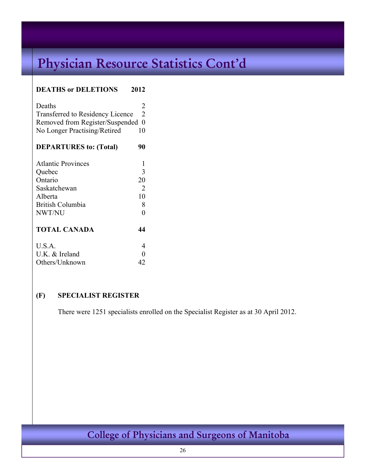### **DEATHS or DELETIONS 2012**

| Deaths                                  | $\mathcal{L}$ |
|-----------------------------------------|---------------|
| <b>Transferred to Residency Licence</b> | $\mathcal{L}$ |
| Removed from Register/Suspended 0       |               |
| No Longer Practising/Retired            | 10            |

| <b>Atlantic Provinces</b> |    |
|---------------------------|----|
| Quebec                    | 3  |
| Ontario                   | 20 |
| Saskatchewan              | 2  |
| Alberta                   | 10 |
| <b>British Columbia</b>   | 8  |
| NWT/NU                    |    |
| <b>TOTAL CANADA</b>       | 44 |
| U.S.A.                    |    |
| $U.K.$ & Ireland          |    |
| Others/Unknown            |    |

### **(F) SPECIALIST REGISTER**

There were 1251 specialists enrolled on the Specialist Register as at 30 April 2012.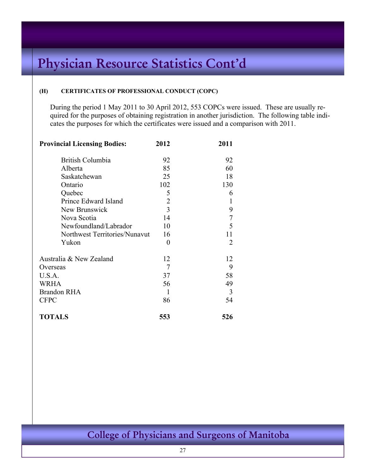#### **(H) CERTIFICATES OF PROFESSIONAL CONDUCT (COPC)**

During the period 1 May 2011 to 30 April 2012, 553 COPCs were issued. These are usually required for the purposes of obtaining registration in another jurisdiction. The following table indicates the purposes for which the certificates were issued and a comparison with 2011.

| <b>Provincial Licensing Bodies:</b> | 2012           | 2011           |
|-------------------------------------|----------------|----------------|
| <b>British Columbia</b>             | 92             | 92             |
| Alberta                             | 85             | 60             |
| Saskatchewan                        | 25             | 18             |
| Ontario                             | 102            | 130            |
| Quebec                              | 5              | 6              |
| Prince Edward Island                | $\overline{2}$ | 1              |
| New Brunswick                       | 3              | 9              |
| Nova Scotia                         | 14             | $\overline{7}$ |
| Newfoundland/Labrador               | 10             | 5              |
| Northwest Territories/Nunavut       | 16             | 11             |
| Yukon                               | $\theta$       | $\overline{2}$ |
| Australia & New Zealand             | 12             | 12             |
| Overseas                            | 7              | 9              |
| U.S.A.                              | 37             | 58             |
| <b>WRHA</b>                         | 56             | 49             |
| <b>Brandon RHA</b>                  | 1              | 3              |
| <b>CFPC</b>                         | 86             | 54             |
| <b>TOTALS</b>                       | 553            | 526            |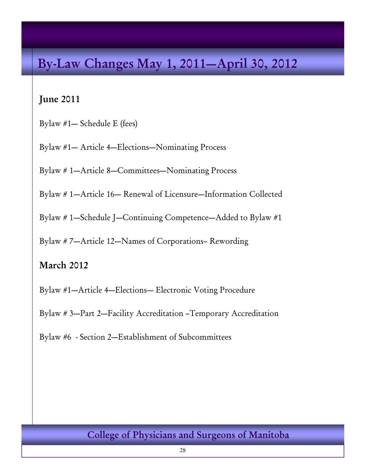# **By-Law Changes May 1, 2011—April 30, 2012**

### **June 2011**

Bylaw #1— Schedule E (fees)

Bylaw #1— Article 4—Elections—Nominating Process

Bylaw # 1—Article 8—Committees—Nominating Process

Bylaw # 1—Article 16— Renewal of Licensure—Information Collected

Bylaw # 1—Schedule J—Continuing Competence—Added to Bylaw #1

Bylaw # 7—Article 12—Names of Corporations– Rewording

### **March 2012**

Bylaw #1—Article 4—Elections— Electronic Voting Procedure

Bylaw # 3—Part 2—Facility Accreditation –Temporary Accreditation

Bylaw #6 - Section 2—Establishment of Subcommittees